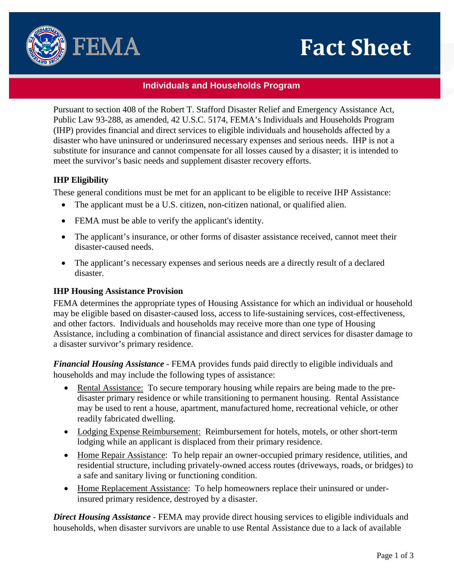# **Fact Sheet**



## **Individuals and Households Program**

Pursuant to section 408 of the Robert T. Stafford Disaster Relief and Emergency Assistance Act, Public Law 93-288, as amended, 42 U.S.C. 5174, FEMA's Individuals and Households Program (IHP) provides financial and direct services to eligible individuals and households affected by a disaster who have uninsured or underinsured necessary expenses and serious needs. IHP is not a substitute for insurance and cannot compensate for all losses caused by a disaster; it is intended to meet the survivor's basic needs and supplement disaster recovery efforts.

# **IHP Eligibility**

These general conditions must be met for an applicant to be eligible to receive IHP Assistance:

- The applicant must be a U.S. citizen, non-citizen national, or qualified alien.
- FEMA must be able to verify the applicant's identity.
- The applicant's insurance, or other forms of disaster assistance received, cannot meet their disaster-caused needs.
- The applicant's necessary expenses and serious needs are a directly result of a declared disaster.

## **IHP Housing Assistance Provision**

FEMA determines the appropriate types of Housing Assistance for which an individual or household may be eligible based on disaster-caused loss, access to life-sustaining services, cost-effectiveness, and other factors. Individuals and households may receive more than one type of Housing Assistance, including a combination of financial assistance and direct services for disaster damage to a disaster survivor's primary residence.

*Financial Housing Assistance* - FEMA provides funds paid directly to eligible individuals and households and may include the following types of assistance:

- Rental Assistance: To secure temporary housing while repairs are being made to the predisaster primary residence or while transitioning to permanent housing. Rental Assistance may be used to rent a house, apartment, manufactured home, recreational vehicle, or other readily fabricated dwelling.
- Lodging Expense Reimbursement: Reimbursement for hotels, motels, or other short-term lodging while an applicant is displaced from their primary residence.
- Home Repair Assistance: To help repair an owner-occupied primary residence, utilities, and residential structure, including privately-owned access routes (driveways, roads, or bridges) to a safe and sanitary living or functioning condition.
- Home Replacement Assistance: To help homeowners replace their uninsured or underinsured primary residence, destroyed by a disaster.

*Direct Housing Assistance* - FEMA may provide direct housing services to eligible individuals and households, when disaster survivors are unable to use Rental Assistance due to a lack of available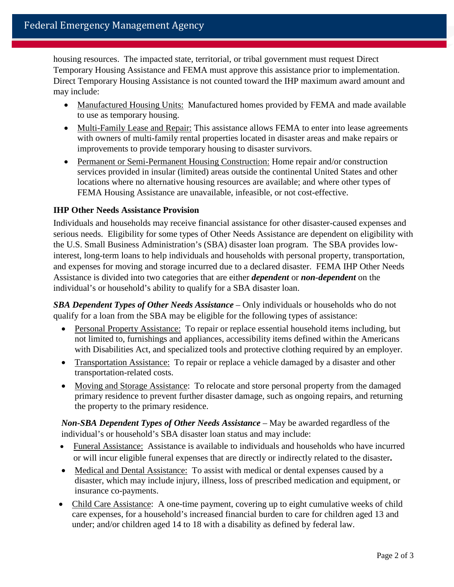housing resources. The impacted state, territorial, or tribal government must request Direct Temporary Housing Assistance and FEMA must approve this assistance prior to implementation. Direct Temporary Housing Assistance is not counted toward the IHP maximum award amount and may include:

- Manufactured Housing Units: Manufactured homes provided by FEMA and made available to use as temporary housing.
- Multi-Family Lease and Repair: This assistance allows FEMA to enter into lease agreements with owners of multi-family rental properties located in disaster areas and make repairs or improvements to provide temporary housing to disaster survivors.
- Permanent or Semi-Permanent Housing Construction: Home repair and/or construction services provided in insular (limited) areas outside the continental United States and other locations where no alternative housing resources are available; and where other types of FEMA Housing Assistance are unavailable, infeasible, or not cost-effective.

### **IHP Other Needs Assistance Provision**

Individuals and households may receive financial assistance for other disaster-caused expenses and serious needs. Eligibility for some types of Other Needs Assistance are dependent on eligibility with the U.S. Small Business Administration's (SBA) disaster loan program. The SBA provides lowinterest, long-term loans to help individuals and households with personal property, transportation, and expenses for moving and storage incurred due to a declared disaster. FEMA IHP Other Needs Assistance is divided into two categories that are either *dependent* or *non-dependent* on the individual's or household's ability to qualify for a SBA disaster loan.

*SBA Dependent Types of Other Needs Assistance* – Only individuals or households who do not qualify for a loan from the SBA may be eligible for the following types of assistance:

- Personal Property Assistance: To repair or replace essential household items including, but not limited to, furnishings and appliances, accessibility items defined within the Americans with Disabilities Act, and specialized tools and protective clothing required by an employer.
- Transportation Assistance: To repair or replace a vehicle damaged by a disaster and other transportation-related costs.
- Moving and Storage Assistance: To relocate and store personal property from the damaged primary residence to prevent further disaster damage, such as ongoing repairs, and returning the property to the primary residence.

*Non-SBA Dependent Types of Other Needs Assistance* – May be awarded regardless of the individual's or household's SBA disaster loan status and may include:

- Funeral Assistance: Assistance is available to individuals and households who have incurred or will incur eligible funeral expenses that are directly or indirectly related to the disaster**.**
- Medical and Dental Assistance: To assist with medical or dental expenses caused by a disaster, which may include injury, illness, loss of prescribed medication and equipment, or insurance co-payments.
- Child Care Assistance: A one-time payment, covering up to eight cumulative weeks of child care expenses, for a household's increased financial burden to care for children aged 13 and under; and/or children aged 14 to 18 with a disability as defined by federal law.